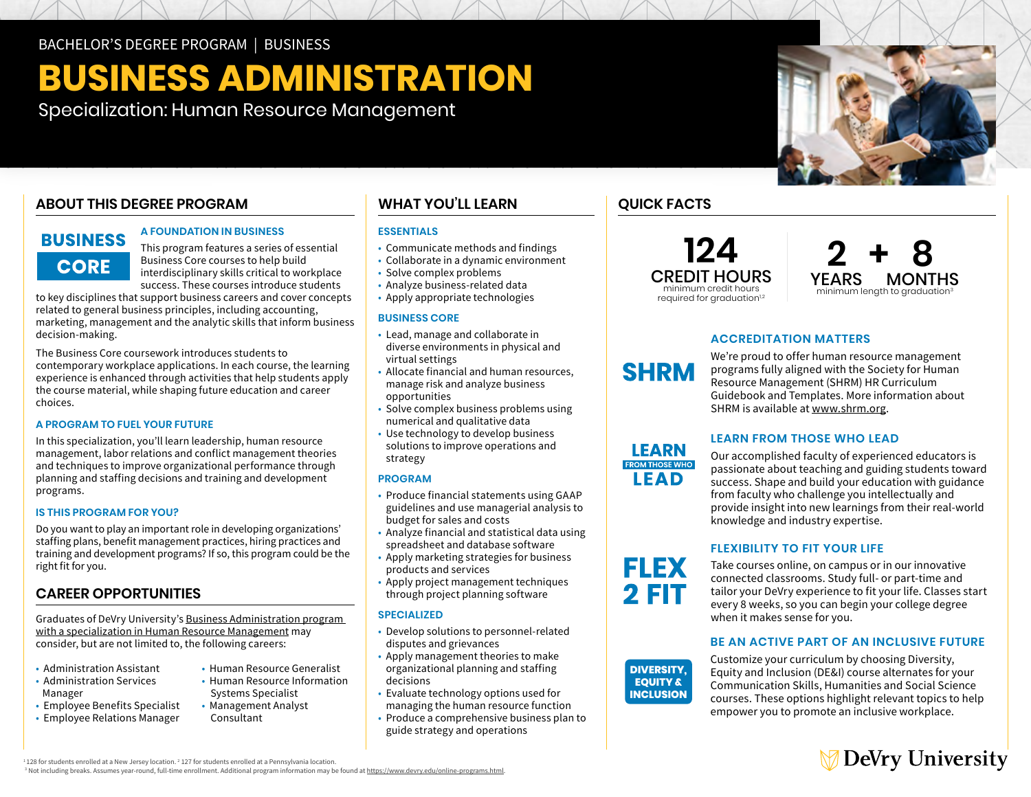# **BUSINESS ADMINISTRATION**

Specialization: Human Resource Management

# **ABOUT THIS DEGREE PROGRAM**

# **BUSINESS CORE**

### **A FOUNDATION IN BUSINESS**

This program features a series of essential Business Core courses to help build interdisciplinary skills critical to workplace success. These courses introduce students

to key disciplines that support business careers and cover concepts related to general business principles, including accounting, marketing, management and the analytic skills that inform business decision-making.

The Business Core coursework introduces students to contemporary workplace applications. In each course, the learning experience is enhanced through activities that help students apply the course material, while shaping future education and career choices.

# **A PROGRAM TO FUEL YOUR FUTURE**

In this specialization, you'll learn leadership, human resource management, labor relations and conflict management theories and techniques to improve organizational performance through planning and staffing decisions and training and development programs.

# **IS THIS PROGRAM FOR YOU?**

Do you want to play an important role in developing organizations' staffing plans, benefit management practices, hiring practices and training and development programs? If so, this program could be the right fit for you.

# **CAREER OPPORTUNITIES**

Graduates of DeVry University's [Business Administration program](https://www.devry.edu/online-programs/bachelors-degrees/business/human-resource-management-specialization.html)  [with a specialization in Human Resource Management](https://www.devry.edu/online-programs/bachelors-degrees/business/human-resource-management-specialization.html) may consider, but are not limited to, the following careers:

- Administration Assistant • Administration Services
- Manager
- Employee Benefits Specialist • Employee Relations Manager
- Human Resource Generalist • Human Resource Information
- Systems Specialist • Management Analyst
	- Consultant

# **WHAT YOU'LL LEARN**

# **ESSENTIALS**

- Communicate methods and findings
- Collaborate in a dynamic environment
- Solve complex problems
- Analyze business-related data
- Apply appropriate technologies

### **BUSINESS CORE**

- Lead, manage and collaborate in diverse environments in physical and virtual settings
- Allocate financial and human resources, manage risk and analyze business opportunities
- Solve complex business problems using numerical and qualitative data
- Use technology to develop business solutions to improve operations and strategy

# **PROGRAM**

- Produce financial statements using GAAP guidelines and use managerial analysis to budget for sales and costs
- Analyze financial and statistical data using spreadsheet and database software
- Apply marketing strategies for business products and services
- Apply project management techniques through project planning software

# **SPECIALIZED**

- Develop solutions to personnel-related disputes and grievances
- Apply management theories to make organizational planning and staffing decisions
- Evaluate technology options used for managing the human resource function
- Produce a comprehensive business plan to guide strategy and operations

# **QUICK FACTS**

LEARN **FROM THOSE WHO LEAD** 

**FLEX** 2 FIT

**DIVERSITY, EQUITY & INCLUSION** 

**124** CREDIT HOURS minimum credit hours required for graduation<sup>1,2</sup>



# **ACCREDITATION MATTERS**

We're proud to offer human resource management programs fully aligned with the Society for Human Resource Management (SHRM) HR Curriculum Guidebook and Templates. More information about SHRM is available at [www.shrm.org](http://www.shrm.org).

# **LEARN FROM THOSE WHO LEAD**

Our accomplished faculty of experienced educators is passionate about teaching and guiding students toward success. Shape and build your education with guidance from faculty who challenge you intellectually and provide insight into new learnings from their real-world knowledge and industry expertise.

# **FLEXIBILITY TO FIT YOUR LIFE**

Take courses online, on campus or in our innovative connected classrooms. Study full- or part-time and tailor your DeVry experience to fit your life. Classes start every 8 weeks, so you can begin your college degree when it makes sense for you.

# **BE AN ACTIVE PART OF AN INCLUSIVE FUTURE**

Customize your curriculum by choosing Diversity, Equity and Inclusion (DE&I) course alternates for your Communication Skills, Humanities and Social Science courses. These options highlight relevant topics to help empower you to promote an inclusive workplace.



 $1128$  for students enrolled at a New Jersey location.  $2$  127 for students enrolled at a Pennsylvania location.

' 128 for students enrolled at a New Jersey location. <sup>2</sup> 127 for students enrolled at a Pennsylvania location.<br><sup>3</sup> Not including breaks. Assumes year-round, full-time enrollment. Additional program information may be foun